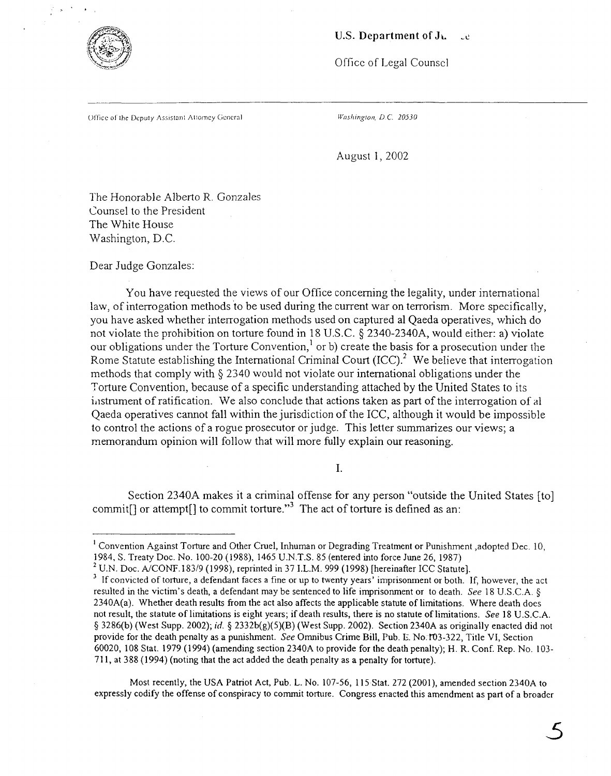

U.S. Department of  $J_{L}$  ce

Office of Legal Counsel

Office of' the Deputy Assistant Attorney General

*Washington. DC. 20530* 

August 1,2002

The Honorable Alberto R. Gonzales Counsel to the President The White House Washington, D.C.

Dear Judge Gonzales:

You have requested the views of our Office concerning the legality, under international law, of interrogation methods to be used during the current war on terrorism. More specifically, you have asked whether interrogation methods used on captured al Qaeda operatives, which do not violate the prohibition on torture found in 18 U.S.C. § 2340-2340A, would either: a) violate our obligations under the Torture Convention,  $^1$  or b) create the basis for a prosecution under the Rome Statute establishing the International Criminal Court (ICC).<sup>2</sup> We believe that interrogation methods that comply with § 2340 would not violate our international obligations under the Torture Convention, because of a specific understanding attached by the United States to its instrument of ratification. We also conclude that actions taken as part of the interrogation of al Qaeda operatives cannot fall within the jurisdiction of the ICC, although it would be impossible to control the actions of a rogue prosecutor or judge. This letter summarizes our views; a memorandum opinion will follow that will more fully explain our reasoning.

I.

Section 2340A makes it a criminal offense for any person "outside the United States [to] commit[] or attempt[] to commit torture."<sup>3</sup> The act of torture is defined as an:

Most recently, the USA Patriot Act, Pub. L. No. 107-56, 115 Stat. 272 (2001), amended section 2340A to expressly codify the offense of conspiracy to commit torture. Congress enacted this amendment as part of a broader

<sup>&</sup>lt;sup>1</sup> Convention Against Torture and Other Cruel, Inhuman or Degrading Treatment or Punishment,adopted Dec. 10, 1984, S. Treaty Doc. No. 100-20 (1988), 1465 U.N.T.S. 85 (entered into force June 26, 1987)

<sup>&</sup>lt;sup>2</sup> U.N. Doc. A/CONF.183/9 (1998), reprinted in 37 I.L.M. 999 (1998) [hereinafter ICC Statute].

 $3\,$  If convicted of torture, a defendant faces a fine or up to twenty years' imprisonment or both. If, however, the act resulted in the victim's death, a defendant may be sentenced to life imprisonment or to death. *See* 18 U.S.C.A. § 2340A(a). Whether death results from the act also affects the applicable statute of limitations. Where death does not result, the statute of limitations is eight years; if death results, there is no statute of limitations. *See* 18 U.S.C.A. § 3286(b) (West Supp. 2002); *id.* § 2332b(g)(5)(B) (West Supp. 2002). Section 2340A as originally enacted did not provide for the death penalty as a punishment. *See* Omnibus Crime Bill, Pub. E. No. 103-322, Title VI, Section 60020, 108 Stat. 1979 (1994) (amending section 2340A to provide for the death penalty); H. R. Conf. Rep. No. 103- 711, at 388 (1994) (noting that the act added the death penalty as a penalty for torture).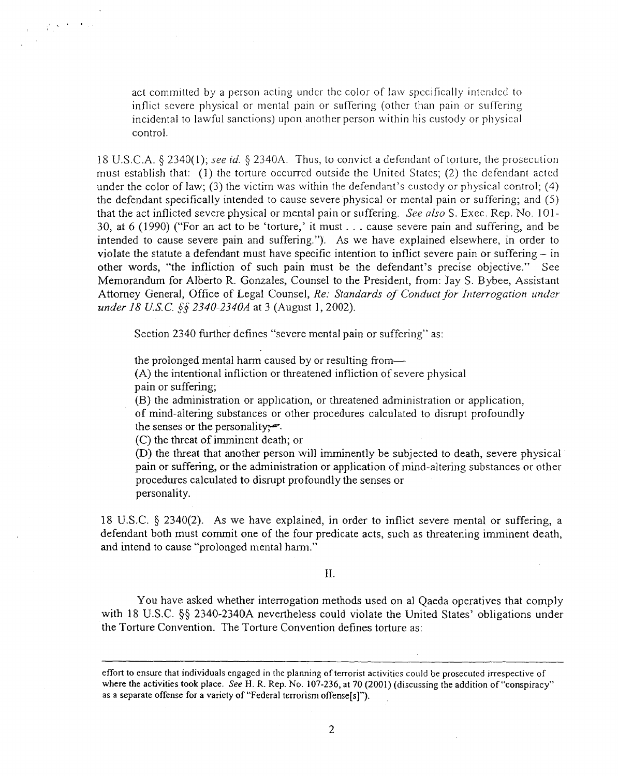act committed by a person acting under the color of law specifically intended to inflict severe physical or mental pain or suffering (other than pain or suffering incidental to lawful sanctions) upon another person within his custody or physical control.

18 U.S.C.A. § 2340(1); *see id.* § 2340A. Thus, to convict a defendant of torture, the prosecution must establish that: (1) the torture occurred outside the United States; (2) the defendant acted under the color of law; (3) the victim was within the defendant's custody or physical control; (4) the defendant specifically intended to cause severe physical or mental pain or suffering; and (5) that the act inflicted severe physical or mental pain or suffering. *See also* S. Exec. Rep. No. 101- 30, at 6 (1990) ("For an act to be 'torture,' it must . . . cause severe pain and suffering, and be intended to cause severe pain and suffering."). As we have explained elsewhere, in order to violate the statute a defendant must have specific intention to inflict severe pain or suffering  $-$  in other words, "the infliction of such pain must be the defendant's precise objective." See Memorandum for Alberto R. Gonzales, Counsel to the President, from: Jay S. Bybee, Assistant Attorney General, Office of Legal Counsel, *Re: Standards of Conduct for Interrogation under under 18 U.S.C. §§ 2340-2340A* at 3 (August 1, 2002).

Section 2340 further defines "severe mental pain or suffering" as:

the prolonged mental harm caused by or resulting from—

(A) the intentional infliction or threatened infliction of severe physical pain or suffering;

(B) the administration or application, or threatened administration or application, of mind-altering substances or other procedures calculated to disrupt profoundly the senses or the personality. $\blacktriangleright$ .

(C) the threat of imminent death; or

 $\frac{1}{\left\langle \mathbf{y}_{1},\mathbf{y}_{2}\right\rangle }\left\langle \mathbf{y}_{2},\mathbf{y}_{2}\right\rangle$ 

(D) the threat that another person will imminently be subjected to death, severe physical pain or suffering, or the administration or application of mind-altering substances or other procedures calculated to disrupt profoundly the senses or personality.

18 U.S.C. § 2340(2). As we have explained, in order to inflict severe mental or suffering, a defendant both must commit one of the four predicate acts, such as threatening imminent death, and intend to cause "prolonged mental harm."

II.

You have asked whether interrogation methods used on al Qaeda operatives that comply with 18 U.S.C. §§ 2340-2340A nevertheless could violate the United States' obligations under the Torture Convention. The Torture Convention defines torture as:

effort to ensure that individuals engaged in the planning of terrorist activities could be prosecuted irrespective of where the activities took place. *See* H. R. Rep. No. 107-236, at 70 (2001) (discussing the addition of "conspiracy" as a separate offense for a variety of "Federal terrorism offense[s]").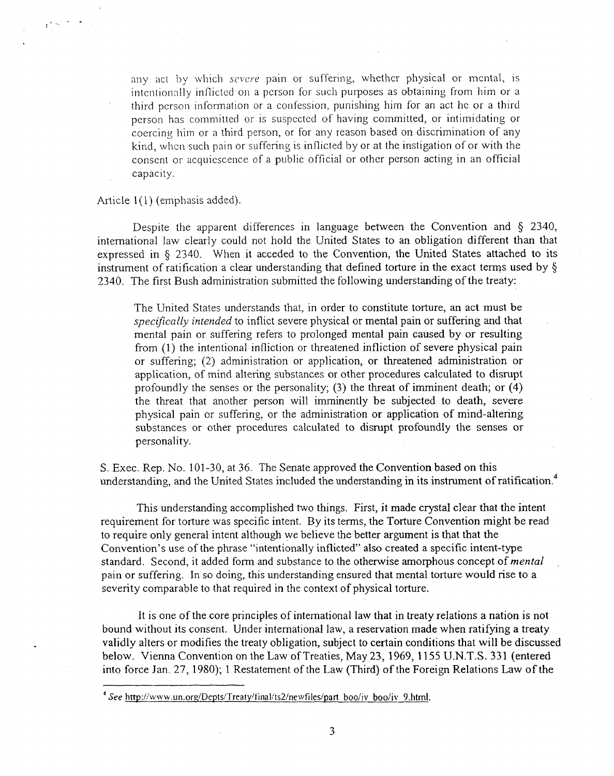any act by which *severe* pain or suffering, whether physical or mental, is intentionally inflicted on a person for such purposes as obtaining from him or a third person information or a confession, punishing him for an act he or a third person has committed or is suspected of having committed, or intimidating or coercing him or a third person, or for any reason based on discrimination of any kind, when such pain or suffering is inflicted by or at the instigation of or with the consent or acquiescence of a public official or other person acting in an official capacity.

## Article 1(1) (emphasis added).

 $e^{i\frac{\pi}{2} \frac{1}{2} \left( \frac{1}{2} \right)^2}$ 

Despite the apparent differences in language between the Convention and § 2340, international law clearly could not hold the United States to an obligation different than that expressed in § 2340. When it acceded to the Convention, the United States attached to its instrument of ratification a clear understanding that defined torture in the exact terms used by  $\S$ 2340. The first Bush administration submitted the following understanding of the treaty:

The United States understands that, in order to constitute torture, an act must be *specifically intended* to inflict severe physical or mental pain or suffering and that mental pain or suffering refers to prolonged mental pain caused by or resulting from (1) the intentional infliction or threatened infliction of severe physical pain or suffering; (2) administration or application, or threatened administration or application, of mind altering substances or other procedures calculated to disrupt profoundly the senses or the personality; (3) the threat of imminent death; or (4) the threat that another person will imminently be subjected to death, severe physical pain or suffering, or the administration or application of mind-altering substances or other procedures calculated to disrupt profoundly the senses or personality.

S. Exec. Rep. No. 101-30, at 36. The Senate approved the Convention based on this understanding, and the United States included the understanding in its instrument of ratification.<sup>4</sup>

This understanding accomplished two things. First, it made crystal clear that the intent requirement for torture was specific intent. By its terms, the Torture Convention might be read to require only general intent although we believe the better argument is that that the Convention's use of the phrase "intentionally inflicted" also created a specific intent-type standard. Second, it added form and substance to the otherwise amorphous concept of *mental*  pain or suffering. In so doing, this understanding ensured that mental torture would rise to a severity comparable to that required in the context of physical torture.

It is one of the core principles of international law that in treaty relations a nation is not bound without its consent. Under international law, a reservation made when ratifying a treaty validly alters or modifies the treaty obligation, subject to certain conditions that will be discussed below. Vienna Convention on the Law of Treaties, May 23, 1969, 1155 U.N.T.S. 331 (entered into force Jan. 27, 1980); 1 Restatement of the Law (Third) of the Foreign Relations Law of the

<sup>&</sup>lt;sup>4</sup> See http://www.un.org/Depts/Treaty/final/ts2/newfiles/part\_boo/iv\_boo/iv\_9.html.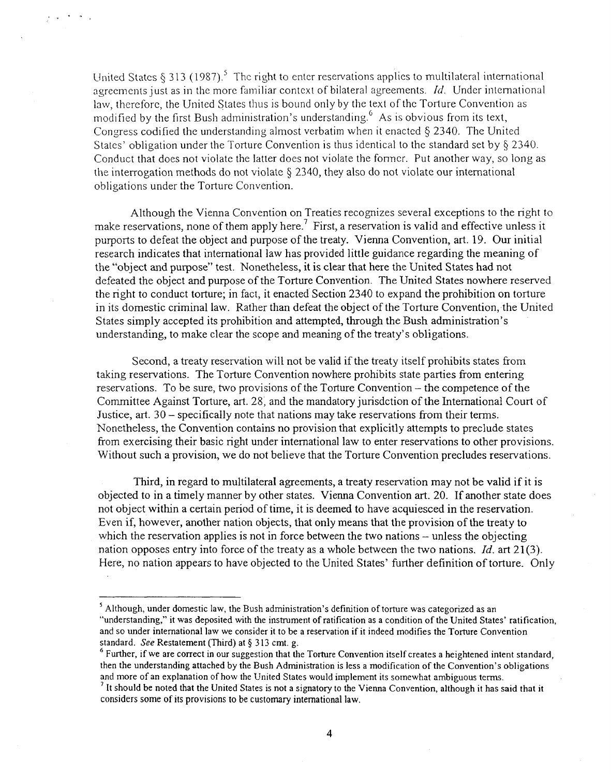United States § 313 (1987).<sup>5</sup> The right to enter reservations applies to multilateral international agreements just as in the more familiar context of bilateral agreements. *Id.* Under international law, therefore, the United States thus is bound only by the text of the Torture Convention as modified by the first Bush administration's understanding.  $6$  As is obvious from its text, Congress codified the understanding almost verbatim when it enacted § 2340. The United States' obligation under the Torture Convention is thus identical to the standard set by § 2340. Conduct that does not violate the latter does not violate the former. Put another way, so long as the interrogation methods do not violate § 2340, they also do not violate our international obligations under the Torture Convention.

ل جا جا جا ج

Although the Vienna Convention on Treaties recognizes several exceptions to the right to make reservations, none of them apply here.<sup>7</sup> First, a reservation is valid and effective unless it purports to defeat the object and purpose of the treaty. Vienna Convention, art. 19. Our initial research indicates that international law has provided little guidance regarding the meaning of the "object and purpose" test. Nonetheless, it is clear that here the United States had not defeated the object and purpose of the Torture Convention. The United States nowhere reserved the right to conduct torture; in fact, it enacted Section 2340 to expand the prohibition on torture in its domestic criminal law. Rather than defeat the object of the Torture Convention, the United States simply accepted its prohibition and attempted, through the Bush administration's understanding, to make clear the scope and meaning of the treaty's obligations.

Second, a treaty reservation will not be valid if the treaty itself prohibits states from taking reservations. The Torture Convention nowhere prohibits state parties from entering reservations. To be sure, two provisions of the Torture Convention – the competence of the Committee Against Torture, art. 28, and the mandatory jurisdiction of the International Court of Justice, art. 30 - specifically note that nations may take reservations from their terms. Nonetheless, the Convention contains no provision that explicitly attempts to preclude states from exercising their basic right under international law to enter reservations to other provisions. Without such a provision, we do not believe that the Torture Convention precludes reservations.

Third, in regard to multilateral agreements, a treaty reservation may not be valid if it is objected to in a timely manner by other states. Vienna Convention art. 20. If another state does not object within a certain period of time, it is deemed to have acquiesced in the reservation. Even if, however, another nation objects, that only means that the provision of the treaty to which the reservation applies is not in force between the two nations  $-$  unless the objecting nation opposes entry into force of the treaty as a whole between the two nations. *Id.* art 21(3). Here, no nation appears to have objected to the United States' further definition of torture. Only

<sup>&</sup>lt;sup>5</sup> Although, under domestic law, the Bush administration's definition of torture was categorized as an "understanding," it was deposited with the instrument of ratification as a condition of the United States' ratification, and so under international law we consider it to be a reservation if it indeed modifies the Torture Convention standard. *See* Restatement (Third) at § 313 cmt. g.

 $<sup>6</sup>$  Further, if we are correct in our suggestion that the Torture Convention itself creates a heightened intent standard,</sup> then the understanding attached by the Bush Administration is less a modification of the Convention's obligations and more of an explanation of how the United States would implement its somewhat ambiguous terms.

It should be noted that the United States is not a signatory to the Vienna Convention, although it has said that it considers some of its provisions to be customary international law.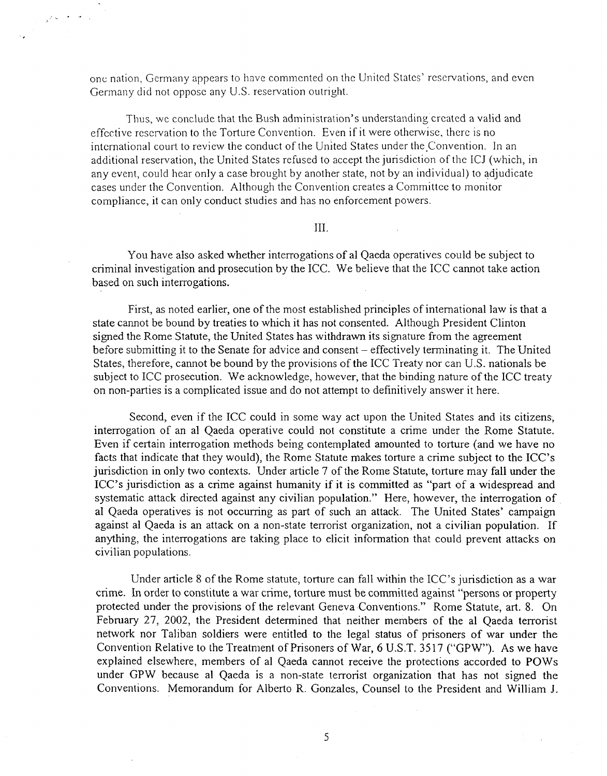one nation, Germany appears to have commented on the United States' reservations, and even Germany did not oppose any U.S. reservation outright.

 $\frac{1}{2} \left( \frac{2}{3} \frac{1}{\lambda} \right) \frac{1}{\lambda} \left( \frac{1}{\lambda} \right) \frac{1}{\lambda} \left( \frac{1}{\lambda} \right) \frac{1}{\lambda} \left( \frac{1}{\lambda} \right)$ 

Thus, we conclude that the Bush administration's understanding created a valid and effective reservation to the Torture Convention. Even if it were otherwise, there is no international court to review the conduct of the United States under the Convention. In an additional reservation, the United States refused to accept the jurisdiction of the ICJ (which, in any event, could hear only a case brought by another state, not by an individual) to adjudicate cases under the Convention. Although the Convention creates a Committee to monitor compliance, it can only conduct studies and has no enforcement powers.

## III.

You have also asked whether interrogations of al Qaeda operatives could be subject to criminal investigation and prosecution by the ICC. We believe that the ICC cannot take action based on such interrogations.

First, as noted earlier, one of the most established principles of international law is that a state cannot be bound by treaties to which it has not consented. Although President Clinton signed the Rome Statute, the United States has withdrawn its signature from the agreement before submitting it to the Senate for advice and consent – effectively terminating it. The United States, therefore, cannot be bound by the provisions of the ICC Treaty nor can U.S. nationals be subject to ICC prosecution. We acknowledge, however, that the binding nature of the ICC treaty on non-parties is a complicated issue and do not attempt to definitively answer it here.

Second, even if the ICC could in some way act upon the United States and its citizens, interrogation of an al Qaeda operative could not constitute a crime under the Rome Statute. Even if certain interrogation methods being contemplated amounted to torture (and we have no facts that indicate that they would), the Rome Statute makes torture a crime subject to the ICC's jurisdiction in only two contexts. Under article 7 of the Rome Statute, torture may fall under the ICC's jurisdiction as a crime against humanity if it is committed as "part of a widespread and systematic attack directed against any civilian population." Here, however, the interrogation of al Qaeda operatives is not occurring as part of such an attack. The United States' campaign against al Qaeda is an attack on a non-state terrorist organization, not a civilian population. If anything, the interrogations are taking place to elicit information that could prevent attacks on civilian populations.

Under article 8 of the Rome statute, torture can fall within the ICC's jurisdiction as a war crime. In order to constitute a war crime, torture must be committed against "persons or property protected under the provisions of the relevant Geneva Conventions." Rome Statute, art. 8. On February 27, 2002, the President determined that neither members of the al Qaeda terrorist network nor Taliban soldiers were entitled to the legal status of prisoners of war under the Convention Relative to the Treatment of Prisoners of War, 6 U.S.T. 3517 ("GPW"). As we have explained elsewhere, members of al Qaeda cannot receive the protections accorded to POWs under GPW because al Qaeda is a non-state terrorist organization that has not signed the Conventions. Memorandum for Alberto R. Gonzales, Counsel to the President and William J.

**5**